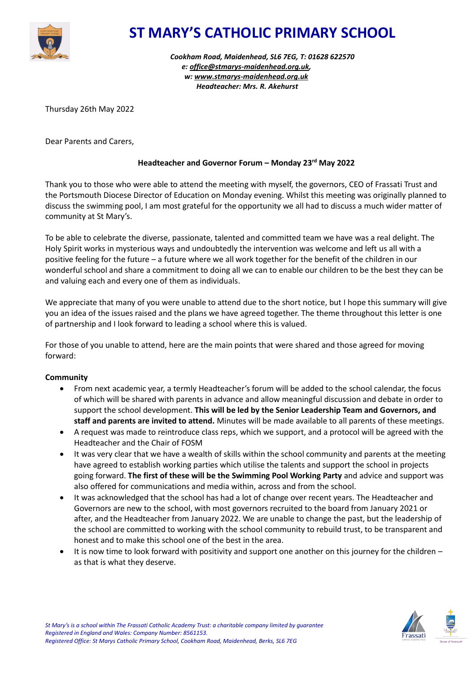

# **ST MARY'S CATHOLIC PRIMARY SCHOOL**

*Cookham Road, Maidenhead, SL6 7EG, T: 01628 622570 e: [office@stmarys-maidenhead.org.uk,](mailto:office@stmarys-maidenhead.org.uk) w: [www.stmarys-maidenhead.org.uk](http://www.stmarys-maidenhead.org.uk/) Headteacher: Mrs. R. Akehurst*

Thursday 26th May 2022

Dear Parents and Carers,

## **Headteacher and Governor Forum – Monday 23rd May 2022**

Thank you to those who were able to attend the meeting with myself, the governors, CEO of Frassati Trust and the Portsmouth Diocese Director of Education on Monday evening. Whilst this meeting was originally planned to discuss the swimming pool, I am most grateful for the opportunity we all had to discuss a much wider matter of community at St Mary's.

To be able to celebrate the diverse, passionate, talented and committed team we have was a real delight. The Holy Spirit works in mysterious ways and undoubtedly the intervention was welcome and left us all with a positive feeling for the future – a future where we all work together for the benefit of the children in our wonderful school and share a commitment to doing all we can to enable our children to be the best they can be and valuing each and every one of them as individuals.

We appreciate that many of you were unable to attend due to the short notice, but I hope this summary will give you an idea of the issues raised and the plans we have agreed together. The theme throughout this letter is one of partnership and I look forward to leading a school where this is valued.

For those of you unable to attend, here are the main points that were shared and those agreed for moving forward:

### **Community**

- From next academic year, a termly Headteacher's forum will be added to the school calendar, the focus of which will be shared with parents in advance and allow meaningful discussion and debate in order to support the school development. **This will be led by the Senior Leadership Team and Governors, and staff and parents are invited to attend.** Minutes will be made available to all parents of these meetings.
- A request was made to reintroduce class reps, which we support, and a protocol will be agreed with the Headteacher and the Chair of FOSM
- It was very clear that we have a wealth of skills within the school community and parents at the meeting have agreed to establish working parties which utilise the talents and support the school in projects going forward. **The first of these will be the Swimming Pool Working Party** and advice and support was also offered for communications and media within, across and from the school.
- It was acknowledged that the school has had a lot of change over recent years. The Headteacher and Governors are new to the school, with most governors recruited to the board from January 2021 or after, and the Headteacher from January 2022. We are unable to change the past, but the leadership of the school are committed to working with the school community to rebuild trust, to be transparent and honest and to make this school one of the best in the area.
- It is now time to look forward with positivity and support one another on this journey for the children as that is what they deserve.

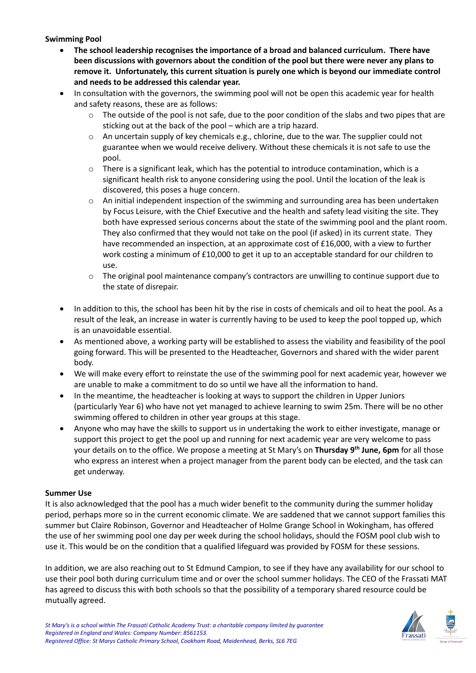### **Swimming Pool**

- **The school leadership recognises the importance of a broad and balanced curriculum. There have been discussions with governors about the condition of the pool but there were never any plans to remove it. Unfortunately, this current situation is purely one which is beyond our immediate control and needs to be addressed this calendar year.**
- In consultation with the governors, the swimming pool will not be open this academic year for health and safety reasons, these are as follows:
	- $\circ$  The outside of the pool is not safe, due to the poor condition of the slabs and two pipes that are sticking out at the back of the pool – which are a trip hazard.
	- $\circ$  An uncertain supply of key chemicals e.g., chlorine, due to the war. The supplier could not guarantee when we would receive delivery. Without these chemicals it is not safe to use the pool.
	- $\circ$  There is a significant leak, which has the potential to introduce contamination, which is a significant health risk to anyone considering using the pool. Until the location of the leak is discovered, this poses a huge concern.
	- $\circ$  An initial independent inspection of the swimming and surrounding area has been undertaken by Focus Leisure, with the Chief Executive and the health and safety lead visiting the site. They both have expressed serious concerns about the state of the swimming pool and the plant room. They also confirmed that they would not take on the pool (if asked) in its current state. They have recommended an inspection, at an approximate cost of £16,000, with a view to further work costing a minimum of £10,000 to get it up to an acceptable standard for our children to use.
	- $\circ$  The original pool maintenance company's contractors are unwilling to continue support due to the state of disrepair.
- In addition to this, the school has been hit by the rise in costs of chemicals and oil to heat the pool. As a result of the leak, an increase in water is currently having to be used to keep the pool topped up, which is an unavoidable essential.
- As mentioned above, a working party will be established to assess the viability and feasibility of the pool going forward. This will be presented to the Headteacher, Governors and shared with the wider parent body.
- We will make every effort to reinstate the use of the swimming pool for next academic year, however we are unable to make a commitment to do so until we have all the information to hand.
- In the meantime, the headteacher is looking at ways to support the children in Upper Juniors (particularly Year 6) who have not yet managed to achieve learning to swim 25m. There will be no other swimming offered to children in other year groups at this stage.
- Anyone who may have the skills to support us in undertaking the work to either investigate, manage or support this project to get the pool up and running for next academic year are very welcome to pass your details on to the office. We propose a meeting at St Mary's on **Thursday 9 th June, 6pm** for all those who express an interest when a project manager from the parent body can be elected, and the task can get underway.

### **Summer Use**

It is also acknowledged that the pool has a much wider benefit to the community during the summer holiday period, perhaps more so in the current economic climate. We are saddened that we cannot support families this summer but Claire Robinson, Governor and Headteacher of Holme Grange School in Wokingham, has offered the use of her swimming pool one day per week during the school holidays, should the FOSM pool club wish to use it. This would be on the condition that a qualified lifeguard was provided by FOSM for these sessions.

In addition, we are also reaching out to St Edmund Campion, to see if they have any availability for our school to use their pool both during curriculum time and or over the school summer holidays. The CEO of the Frassati MAT has agreed to discuss this with both schools so that the possibility of a temporary shared resource could be mutually agreed.